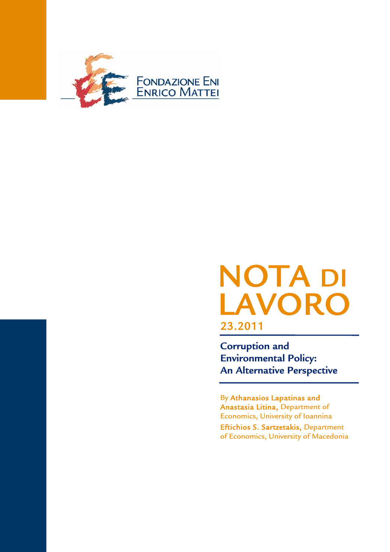

# NOTA DI LAVOR 23.2011

**Corruption and Environmental Policy: An Alternative Perspective** 

By Athanasios Lapatinas and Anastasia Litina, Department of Economics, University of Ioannina

Eftichios S. Sartzetakis, Department of Economics, University of Macedonia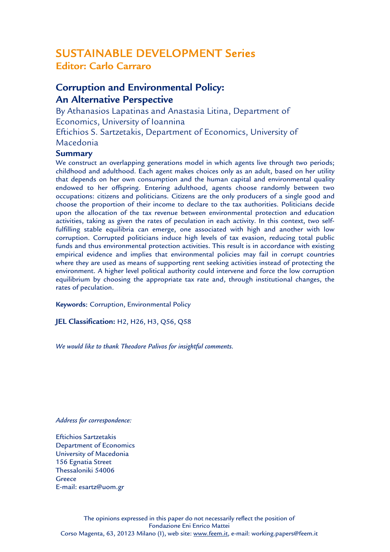# SUSTAINABLE DEVELOPMENT Series **Editor: Carlo Carraro**

# **Corruption and Environmental Policy: An Alternative Perspective**

By Athanasios Lapatinas and Anastasia Litina, Department of Economics, University of Ioannina Eftichios S. Sartzetakis, Department of Economics, University of Macedonia

### **Summary**

We construct an overlapping generations model in which agents live through two periods; childhood and adulthood. Each agent makes choices only as an adult, based on her utility that depends on her own consumption and the human capital and environmental quality endowed to her offspring. Entering adulthood, agents choose randomly between two occupations: citizens and politicians. Citizens are the only producers of a single good and choose the proportion of their income to declare to the tax authorities. Politicians decide upon the allocation of the tax revenue between environmental protection and education activities, taking as given the rates of peculation in each activity. In this context, two selffulfilling stable equilibria can emerge, one associated with high and another with low corruption. Corrupted politicians induce high levels of tax evasion, reducing total public funds and thus environmental protection activities. This result is in accordance with existing empirical evidence and implies that environmental policies may fail in corrupt countries where they are used as means of supporting rent seeking activities instead of protecting the environment. A higher level political authority could intervene and force the low corruption equilibrium by choosing the appropriate tax rate and, through institutional changes, the rates of peculation.

**Keywords**: Corruption, Environmental Policy

**JEL Classification:** H2, H26, H3, Q56, Q58

*We would like to thank Theodore Palivos for insightful comments.* 

### *Address for correspondence:*

Eftichios Sartzetakis Department of Economics University of Macedonia 156 Egnatia Street Thessaloniki 54006 **Greece** E-mail: esartz@uom.gr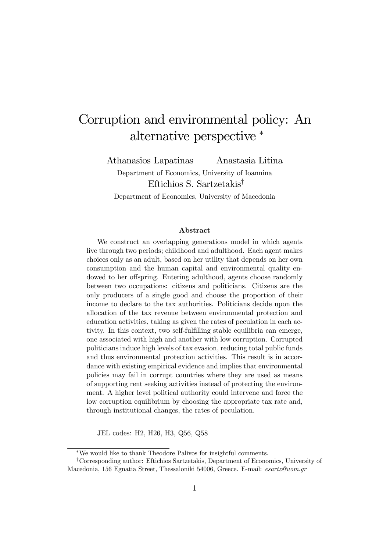# Corruption and environmental policy: An alternative perspective <sup>∗</sup>

Athanasios Lapatinas Anastasia Litina

Department of Economics, University of Ioannina Eftichios S. Sartzetakis† Department of Economics, University of Macedonia

#### Abstract

We construct an overlapping generations model in which agents live through two periods; childhood and adulthood. Each agent makes choices only as an adult, based on her utility that depends on her own consumption and the human capital and environmental quality endowed to her offspring. Entering adulthood, agents choose randomly between two occupations: citizens and politicians. Citizens are the only producers of a single good and choose the proportion of their income to declare to the tax authorities. Politicians decide upon the allocation of the tax revenue between environmental protection and education activities, taking as given the rates of peculation in each activity. In this context, two self-fulfilling stable equilibria can emerge, one associated with high and another with low corruption. Corrupted politicians induce high levels of tax evasion, reducing total public funds and thus environmental protection activities. This result is in accordance with existing empirical evidence and implies that environmental policies may fail in corrupt countries where they are used as means of supporting rent seeking activities instead of protecting the environment. A higher level political authority could intervene and force the low corruption equilibrium by choosing the appropriate tax rate and, through institutional changes, the rates of peculation.

JEL codes: H2, H26, H3, Q56, Q58

<sup>∗</sup>We would like to thank Theodore Palivos for insightful comments.

<sup>†</sup>Corresponding author: Eftichios Sartzetakis, Department of Economics, University of Macedonia, 156 Egnatia Street, Thessaloniki 54006, Greece. E-mail: esartz@uom.gr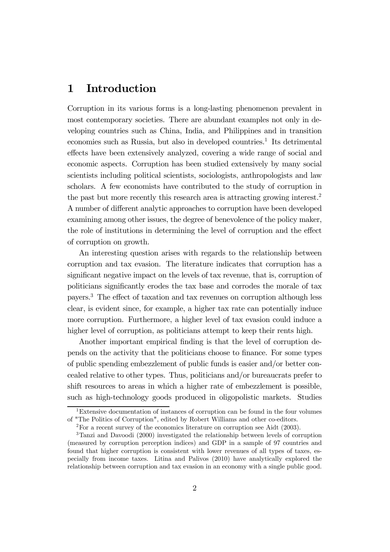# 1 Introduction

Corruption in its various forms is a long-lasting phenomenon prevalent in most contemporary societies. There are abundant examples not only in developing countries such as China, India, and Philippines and in transition economies such as Russia, but also in developed countries.<sup>1</sup> Its detrimental effects have been extensively analyzed, covering a wide range of social and economic aspects. Corruption has been studied extensively by many social scientists including political scientists, sociologists, anthropologists and law scholars. A few economists have contributed to the study of corruption in the past but more recently this research area is attracting growing interest.2 A number of different analytic approaches to corruption have been developed examining among other issues, the degree of benevolence of the policy maker, the role of institutions in determining the level of corruption and the effect of corruption on growth.

An interesting question arises with regards to the relationship between corruption and tax evasion. The literature indicates that corruption has a significant negative impact on the levels of tax revenue, that is, corruption of politicians significantly erodes the tax base and corrodes the morale of tax payers.3 The effect of taxation and tax revenues on corruption although less clear, is evident since, for example, a higher tax rate can potentially induce more corruption. Furthermore, a higher level of tax evasion could induce a higher level of corruption, as politicians attempt to keep their rents high.

Another important empirical finding is that the level of corruption depends on the activity that the politicians choose to finance. For some types of public spending embezzlement of public funds is easier and/or better concealed relative to other types. Thus, politicians and/or bureaucrats prefer to shift resources to areas in which a higher rate of embezzlement is possible, such as high-technology goods produced in oligopolistic markets. Studies

<sup>&</sup>lt;sup>1</sup>Extensive documentation of instances of corruption can be found in the four volumes of "The Politics of Corruption", edited by Robert Williams and other co-editors.

 $2^2$ For a recent survey of the economics literature on corruption see Aidt (2003).

<sup>3</sup>Tanzi and Davoodi (2000) investigated the relationship between levels of corruption (measured by corruption perception indices) and GDP in a sample of 97 countries and found that higher corruption is consistent with lower revenues of all types of taxes, especially from income taxes. Litina and Palivos (2010) have analytically explored the relationship between corruption and tax evasion in an economy with a single public good.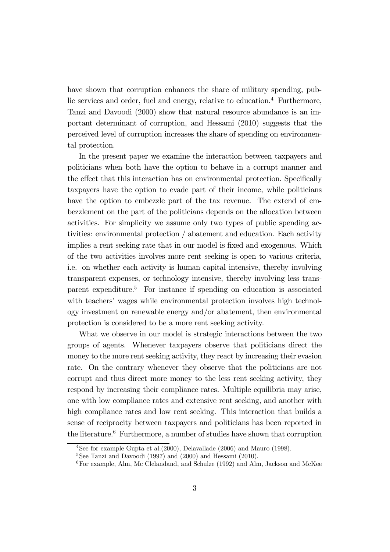have shown that corruption enhances the share of military spending, public services and order, fuel and energy, relative to education.4 Furthermore, Tanzi and Davoodi (2000) show that natural resource abundance is an important determinant of corruption, and Hessami (2010) suggests that the perceived level of corruption increases the share of spending on environmental protection.

In the present paper we examine the interaction between taxpayers and politicians when both have the option to behave in a corrupt manner and the effect that this interaction has on environmental protection. Specifically taxpayers have the option to evade part of their income, while politicians have the option to embezzle part of the tax revenue. The extend of embezzlement on the part of the politicians depends on the allocation between activities. For simplicity we assume only two types of public spending activities: environmental protection / abatement and education. Each activity implies a rent seeking rate that in our model is fixed and exogenous. Which of the two activities involves more rent seeking is open to various criteria, i.e. on whether each activity is human capital intensive, thereby involving transparent expenses, or technology intensive, thereby involving less transparent expenditure.5 For instance if spending on education is associated with teachers' wages while environmental protection involves high technology investment on renewable energy and/or abatement, then environmental protection is considered to be a more rent seeking activity.

What we observe in our model is strategic interactions between the two groups of agents. Whenever taxpayers observe that politicians direct the money to the more rent seeking activity, they react by increasing their evasion rate. On the contrary whenever they observe that the politicians are not corrupt and thus direct more money to the less rent seeking activity, they respond by increasing their compliance rates. Multiple equilibria may arise, one with low compliance rates and extensive rent seeking, and another with high compliance rates and low rent seeking. This interaction that builds a sense of reciprocity between taxpayers and politicians has been reported in the literature.<sup>6</sup> Furthermore, a number of studies have shown that corruption

<sup>4</sup>See for example Gupta et al.(2000), Delavallade (2006) and Mauro (1998).

 ${}^{5}$ See Tanzi and Davoodi (1997) and (2000) and Hessami (2010).

 $6$ For example, Alm, Mc Clelandand, and Schulze (1992) and Alm, Jackson and McKee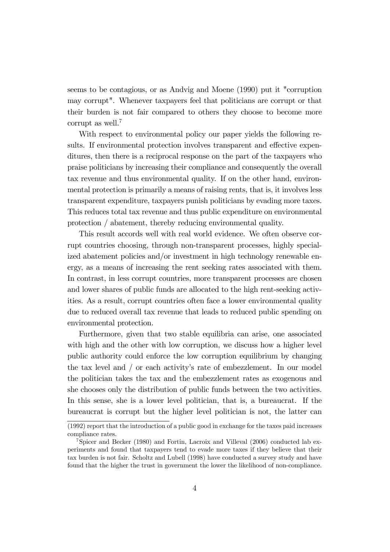seems to be contagious, or as Andvig and Moene (1990) put it "corruption may corrupt". Whenever taxpayers feel that politicians are corrupt or that their burden is not fair compared to others they choose to become more corrupt as well.<sup>7</sup>

With respect to environmental policy our paper yields the following results. If environmental protection involves transparent and effective expenditures, then there is a reciprocal response on the part of the taxpayers who praise politicians by increasing their compliance and consequently the overall tax revenue and thus environmental quality. If on the other hand, environmental protection is primarily a means of raising rents, that is, it involves less transparent expenditure, taxpayers punish politicians by evading more taxes. This reduces total tax revenue and thus public expenditure on environmental protection / abatement, thereby reducing environmental quality.

This result accords well with real world evidence. We often observe corrupt countries choosing, through non-transparent processes, highly specialized abatement policies and/or investment in high technology renewable energy, as a means of increasing the rent seeking rates associated with them. In contrast, in less corrupt countries, more transparent processes are chosen and lower shares of public funds are allocated to the high rent-seeking activities. As a result, corrupt countries often face a lower environmental quality due to reduced overall tax revenue that leads to reduced public spending on environmental protection.

Furthermore, given that two stable equilibria can arise, one associated with high and the other with low corruption, we discuss how a higher level public authority could enforce the low corruption equilibrium by changing the tax level and / or each activity's rate of embezzlement. In our model the politician takes the tax and the embezzlement rates as exogenous and she chooses only the distribution of public funds between the two activities. In this sense, she is a lower level politician, that is, a bureaucrat. If the bureaucrat is corrupt but the higher level politician is not, the latter can

<sup>(1992)</sup> report that the introduction of a public good in exchange for the taxes paid increases compliance rates.

<sup>7</sup>Spicer and Becker (1980) and Fortin, Lacroix and Villeval (2006) conducted lab experiments and found that taxpayers tend to evade more taxes if they believe that their tax burden is not fair. Scholtz and Lubell (1998) have conducted a survey study and have found that the higher the trust in government the lower the likelihood of non-compliance.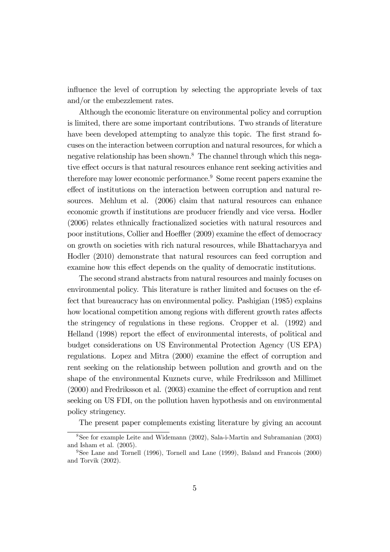influence the level of corruption by selecting the appropriate levels of tax and/or the embezzlement rates.

Although the economic literature on environmental policy and corruption is limited, there are some important contributions. Two strands of literature have been developed attempting to analyze this topic. The first strand focuses on the interaction between corruption and natural resources, for which a negative relationship has been shown.8 The channel through which this negative effect occurs is that natural resources enhance rent seeking activities and therefore may lower economic performance.<sup>9</sup> Some recent papers examine the effect of institutions on the interaction between corruption and natural resources. Mehlum et al. (2006) claim that natural resources can enhance economic growth if institutions are producer friendly and vice versa. Hodler (2006) relates ethnically fractionalized societies with natural resources and poor institutions, Collier and Hoeffler (2009) examine the effect of democracy on growth on societies with rich natural resources, while Bhattacharyya and Hodler (2010) demonstrate that natural resources can feed corruption and examine how this effect depends on the quality of democratic institutions.

The second strand abstracts from natural resources and mainly focuses on environmental policy. This literature is rather limited and focuses on the effect that bureaucracy has on environmental policy. Pashigian (1985) explains how locational competition among regions with different growth rates affects the stringency of regulations in these regions. Cropper et al. (1992) and Helland (1998) report the effect of environmental interests, of political and budget considerations on US Environmental Protection Agency (US EPA) regulations. Lopez and Mitra (2000) examine the effect of corruption and rent seeking on the relationship between pollution and growth and on the shape of the environmental Kuznets curve, while Fredriksson and Millimet (2000) and Fredriksson et al. (2003) examine the effect of corruption and rent seeking on US FDI, on the pollution haven hypothesis and on environmental policy stringency.

The present paper complements existing literature by giving an account

<sup>8</sup>See for example Leite and Widemann (2002), Sala-i-Martin and Subramanian (2003) and Isham et al. (2005).

<sup>&</sup>lt;sup>9</sup>See Lane and Tornell (1996), Tornell and Lane (1999), Baland and Francois (2000) and Torvik (2002).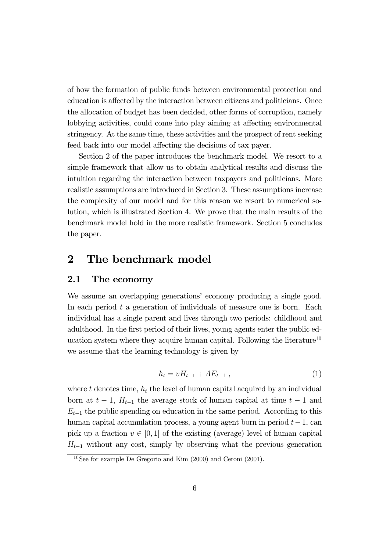of how the formation of public funds between environmental protection and education is affected by the interaction between citizens and politicians. Once the allocation of budget has been decided, other forms of corruption, namely lobbying activities, could come into play aiming at affecting environmental stringency. At the same time, these activities and the prospect of rent seeking feed back into our model affecting the decisions of tax payer.

Section 2 of the paper introduces the benchmark model. We resort to a simple framework that allow us to obtain analytical results and discuss the intuition regarding the interaction between taxpayers and politicians. More realistic assumptions are introduced in Section 3. These assumptions increase the complexity of our model and for this reason we resort to numerical solution, which is illustrated Section 4. We prove that the main results of the benchmark model hold in the more realistic framework. Section 5 concludes the paper.

## 2 The benchmark model

### 2.1 The economy

We assume an overlapping generations' economy producing a single good. In each period  $t$  a generation of individuals of measure one is born. Each individual has a single parent and lives through two periods: childhood and adulthood. In the first period of their lives, young agents enter the public education system where they acquire human capital. Following the literature<sup>10</sup> we assume that the learning technology is given by

$$
h_t = vH_{t-1} + AE_{t-1} \t\t(1)
$$

where t denotes time,  $h_t$  the level of human capital acquired by an individual born at  $t-1$ ,  $H_{t-1}$  the average stock of human capital at time  $t-1$  and  $E_{t-1}$  the public spending on education in the same period. According to this human capital accumulation process, a young agent born in period  $t-1$ , can pick up a fraction  $v \in [0, 1]$  of the existing (average) level of human capital  $H_{t-1}$  without any cost, simply by observing what the previous generation

 $10$ See for example De Gregorio and Kim (2000) and Ceroni (2001).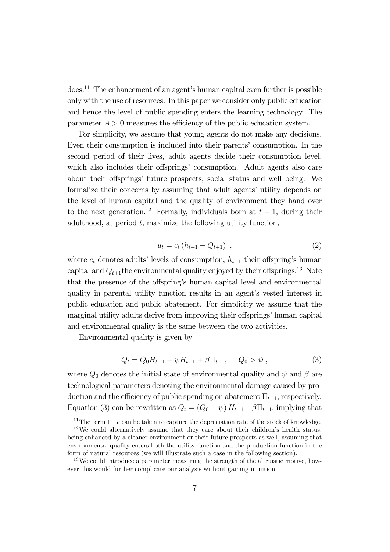does.11 The enhancement of an agent's human capital even further is possible only with the use of resources. In this paper we consider only public education and hence the level of public spending enters the learning technology. The parameter  $A > 0$  measures the efficiency of the public education system.

For simplicity, we assume that young agents do not make any decisions. Even their consumption is included into their parents' consumption. In the second period of their lives, adult agents decide their consumption level, which also includes their offsprings' consumption. Adult agents also care about their offsprings' future prospects, social status and well being. We formalize their concerns by assuming that adult agents' utility depends on the level of human capital and the quality of environment they hand over to the next generation.<sup>12</sup> Formally, individuals born at  $t-1$ , during their adulthood, at period  $t$ , maximize the following utility function,

$$
u_t = c_t (h_{t+1} + Q_{t+1}), \qquad (2)
$$

where  $c_t$  denotes adults' levels of consumption,  $h_{t+1}$  their offspring's human capital and  $Q_{t+1}$ the environmental quality enjoyed by their offsprings.<sup>13</sup> Note that the presence of the offspring's human capital level and environmental quality in parental utility function results in an agent's vested interest in public education and public abatement. For simplicity we assume that the marginal utility adults derive from improving their offsprings' human capital and environmental quality is the same between the two activities.

Environmental quality is given by

$$
Q_t = Q_0 H_{t-1} - \psi H_{t-1} + \beta \Pi_{t-1}, \quad Q_0 > \psi , \qquad (3)
$$

where  $Q_0$  denotes the initial state of environmental quality and  $\psi$  and  $\beta$  are technological parameters denoting the environmental damage caused by production and the efficiency of public spending on abatement  $\Pi_{t-1}$ , respectively. Equation (3) can be rewritten as  $Q_t = (Q_0 - \psi) H_{t-1} + \beta \Pi_{t-1}$ , implying that

<sup>&</sup>lt;sup>11</sup>The term  $1-v$  can be taken to capture the depreciation rate of the stock of knowledge.

<sup>12</sup>We could alternatively assume that they care about their children's health status, being enhanced by a cleaner environment or their future prospects as well, assuming that environmental quality enters both the utility function and the production function in the form of natural resources (we will illustrate such a case in the following section).

<sup>&</sup>lt;sup>13</sup>We could introduce a parameter measuring the strength of the altruistic motive, however this would further complicate our analysis without gaining intuition.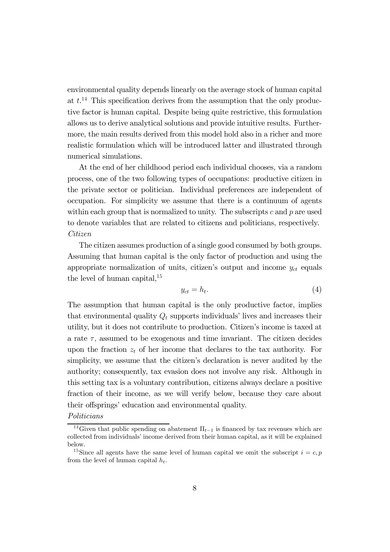environmental quality depends linearly on the average stock of human capital at  $t^{14}$ . This specification derives from the assumption that the only productive factor is human capital. Despite being quite restrictive, this formulation allows us to derive analytical solutions and provide intuitive results. Furthermore, the main results derived from this model hold also in a richer and more realistic formulation which will be introduced latter and illustrated through numerical simulations.

At the end of her childhood period each individual chooses, via a random process, one of the two following types of occupations: productive citizen in the private sector or politician. Individual preferences are independent of occupation. For simplicity we assume that there is a continuum of agents within each group that is normalized to unity. The subscripts  $c$  and  $p$  are used to denote variables that are related to citizens and politicians, respectively. Citizen

The citizen assumes production of a single good consumed by both groups. Assuming that human capital is the only factor of production and using the appropriate normalization of units, citizen's output and income  $y_{ct}$  equals the level of human capital, $^{15}$ 

$$
y_{ct} = h_t. \tag{4}
$$

The assumption that human capital is the only productive factor, implies that environmental quality  $Q_t$  supports individuals' lives and increases their utility, but it does not contribute to production. Citizen's income is taxed at a rate  $\tau$ , assumed to be exogenous and time invariant. The citizen decides upon the fraction  $z_t$  of her income that declares to the tax authority. For simplicity, we assume that the citizen's declaration is never audited by the authority; consequently, tax evasion does not involve any risk. Although in this setting tax is a voluntary contribution, citizens always declare a positive fraction of their income, as we will verify below, because they care about their offsprings' education and environmental quality.

Politicians

<sup>&</sup>lt;sup>14</sup>Given that public spending on abatement  $\Pi_{t-1}$  is financed by tax revenues which are collected from individuals' income derived from their human capital, as it will be explained below.

<sup>&</sup>lt;sup>15</sup>Since all agents have the same level of human capital we omit the subscript  $i = c, p$ from the level of human capital  $h_t$ .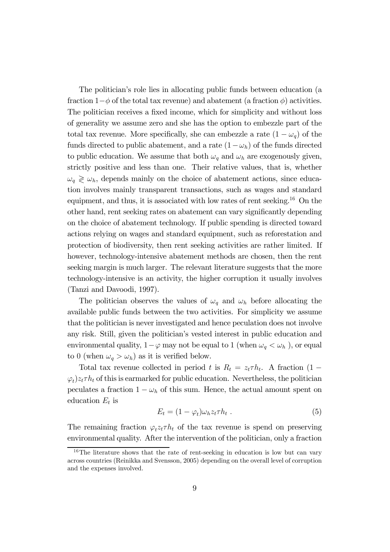The politician's role lies in allocating public funds between education (a fraction  $1-\phi$  of the total tax revenue) and abatement (a fraction  $\phi$ ) activities. The politician receives a fixed income, which for simplicity and without loss of generality we assume zero and she has the option to embezzle part of the total tax revenue. More specifically, she can embezzle a rate  $(1 - \omega_q)$  of the funds directed to public abatement, and a rate  $(1 - \omega_h)$  of the funds directed to public education. We assume that both  $\omega_q$  and  $\omega_h$  are exogenously given, strictly positive and less than one. Their relative values, that is, whether  $\omega_q \geq \omega_h$ , depends mainly on the choice of abatement actions, since education involves mainly transparent transactions, such as wages and standard equipment, and thus, it is associated with low rates of rent seeking.<sup>16</sup> On the other hand, rent seeking rates on abatement can vary significantly depending on the choice of abatement technology. If public spending is directed toward actions relying on wages and standard equipment, such as reforestation and protection of biodiversity, then rent seeking activities are rather limited. If however, technology-intensive abatement methods are chosen, then the rent seeking margin is much larger. The relevant literature suggests that the more technology-intensive is an activity, the higher corruption it usually involves (Tanzi and Davoodi, 1997).

The politician observes the values of  $\omega_q$  and  $\omega_h$  before allocating the available public funds between the two activities. For simplicity we assume that the politician is never investigated and hence peculation does not involve any risk. Still, given the politician's vested interest in public education and environmental quality,  $1-\varphi$  may not be equal to 1 (when  $\omega_q < \omega_h$ ), or equal to 0 (when  $\omega_q > \omega_h$ ) as it is verified below.

Total tax revenue collected in period t is  $R_t = z_t \tau h_t$ . A fraction (1 –  $\varphi_t$ ) $z_t \tau h_t$  of this is earmarked for public education. Nevertheless, the politician peculates a fraction  $1 - \omega_h$  of this sum. Hence, the actual amount spent on education  $E_t$  is

$$
E_t = (1 - \varphi_t)\omega_h z_t \tau h_t \tag{5}
$$

The remaining fraction  $\varphi_t z_t \tau h_t$  of the tax revenue is spend on preserving environmental quality. After the intervention of the politician, only a fraction

<sup>&</sup>lt;sup>16</sup>The literature shows that the rate of rent-seeking in education is low but can vary across countries (Reinikka and Svensson, 2005) depending on the overall level of corruption and the expenses involved.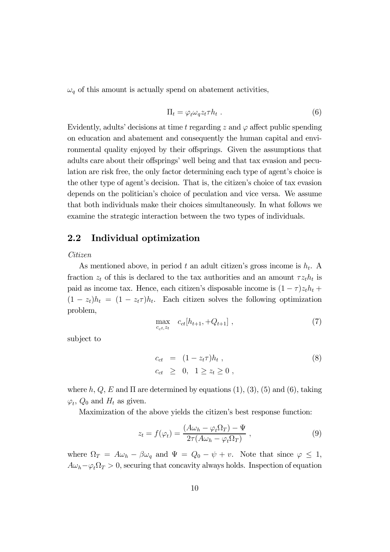$\omega_q$  of this amount is actually spend on abatement activities,

$$
\Pi_t = \varphi_t \omega_q z_t \tau h_t \ . \tag{6}
$$

Evidently, adults' decisions at time t regarding z and  $\varphi$  affect public spending on education and abatement and consequently the human capital and environmental quality enjoyed by their offsprings. Given the assumptions that adults care about their offsprings' well being and that tax evasion and peculation are risk free, the only factor determining each type of agent's choice is the other type of agent's decision. That is, the citizen's choice of tax evasion depends on the politician's choice of peculation and vice versa. We assume that both individuals make their choices simultaneously. In what follows we examine the strategic interaction between the two types of individuals.

### 2.2 Individual optimization

Citizen

As mentioned above, in period t an adult citizen's gross income is  $h_t$ . A fraction  $z_t$  of this is declared to the tax authorities and an amount  $\tau z_t h_t$  is paid as income tax. Hence, each citizen's disposable income is  $(1 - \tau)z_t h_t +$  $(1 - z_t)h_t = (1 - z_t\tau)h_t$ . Each citizen solves the following optimization problem,

$$
\max_{c_{ct}, z_t} c_{ct}[h_{t+1}, +Q_{t+1}], \qquad (7)
$$

subject to

$$
c_{ct} = (1 - z_t \tau) h_t ,
$$
  
\n
$$
c_{ct} \geq 0, \quad 1 \geq z_t \geq 0 ,
$$
 (8)

where h, Q, E and  $\Pi$  are determined by equations (1), (3), (5) and (6), taking  $\varphi_t$ ,  $Q_0$  and  $H_t$  as given.

Maximization of the above yields the citizen's best response function:

$$
z_t = f(\varphi_t) = \frac{(A\omega_h - \varphi_t \Omega_T) - \Psi}{2\tau(A\omega_h - \varphi_t \Omega_T)},
$$
\n(9)

where  $\Omega_T = A\omega_h - \beta\omega_q$  and  $\Psi = Q_0 - \psi + v$ . Note that since  $\varphi \leq 1$ ,  $A\omega_b-\varphi_t\Omega_T > 0$ , securing that concavity always holds. Inspection of equation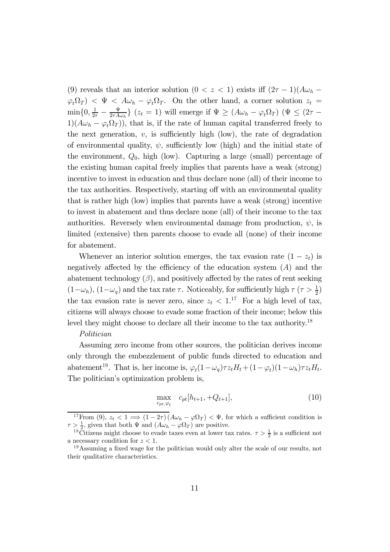(9) reveals that an interior solution (0 < z < 1) exists iff  $(2\tau - 1)(A\omega_h \varphi_t \Omega_T$   $\langle \Psi \rangle \langle \Psi \rangle = A \omega_h - \varphi_t \Omega_T$ . On the other hand, a corner solution  $z_t =$  $\min\{0,\frac{1}{2\tau}-\frac{\Psi}{2\tau A\omega_h}\}\ (z_t=1)$  will emerge if  $\Psi\geq (A\omega_h-\varphi_t\Omega_T)\ (\Psi\leq (2\tau-\pi)\Psi)$  $1(A\omega_h - \varphi_t \Omega_T)$ , that is, if the rate of human capital transferred freely to the next generation,  $v$ , is sufficiently high (low), the rate of degradation of environmental quality,  $\psi$ , sufficiently low (high) and the initial state of the environment,  $Q_0$ , high (low). Capturing a large (small) percentage of the existing human capital freely implies that parents have a weak (strong) incentive to invest in education and thus declare none (all) of their income to the tax authorities. Respectively, starting off with an environmental quality that is rather high (low) implies that parents have a weak (strong) incentive to invest in abatement and thus declare none (all) of their income to the tax authorities. Reversely when environmental damage from production,  $\psi$ , is limited (extensive) then parents choose to evade all (none) of their income for abatement.

Whenever an interior solution emerges, the tax evasion rate  $(1 - z_t)$  is negatively affected by the efficiency of the education system  $(A)$  and the abatement technology  $(\beta)$ , and positively affected by the rates of rent seeking  $(1-\omega_h)$ ,  $(1-\omega_q)$  and the tax rate  $\tau$ . Noticeably, for sufficiently high  $\tau$  ( $\tau > \frac{1}{2}$ ) the tax evasion rate is never zero, since  $z_t < 1$ .<sup>17</sup> For a high level of tax, citizens will always choose to evade some fraction of their income; below this level they might choose to declare all their income to the tax authority.<sup>18</sup>

#### Politician

Assuming zero income from other sources, the politician derives income only through the embezzlement of public funds directed to education and abatement<sup>19</sup>. That is, her income is,  $\varphi_t(1-\omega_q)\tau z_t H_t + (1-\varphi_t)(1-\omega_h)\tau z_t H_t$ . The politician's optimization problem is,

$$
\max_{c_{pt,\varphi_t}} c_{pt}[h_{t+1}, +Q_{t+1}], \tag{10}
$$

<sup>&</sup>lt;sup>17</sup>From (9),  $z_t < 1 \implies (1 - 2\tau) (A\omega_h - \varphi \Omega_T) < \Psi$ , for which a sufficient condition is  $\tau > \frac{1}{2}$ , given that both  $\Psi$  and  $(A\omega_h - \varphi \Omega_T)$  are positive.

<sup>&</sup>lt;sup>18</sup>Citizens might choose to evade taxes even at lower tax rates.  $\tau > \frac{1}{2}$  is a sufficient not a necessary condition for  $z < 1$ .

<sup>19</sup>Assuming a fixed wage for the politician would only alter the scale of our results, not their qualitative characteristics.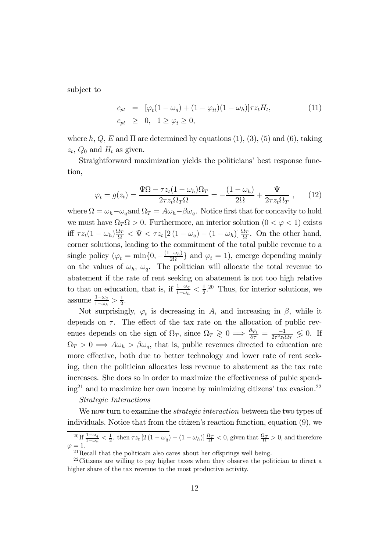subject to

$$
c_{pt} = [\varphi_t(1 - \omega_q) + (1 - \varphi_{tt})(1 - \omega_h)]\tau z_t H_t,
$$
  
\n
$$
c_{pt} \geq 0, \quad 1 \geq \varphi_t \geq 0,
$$
\n(11)

where h,  $Q$ , E and  $\Pi$  are determined by equations (1), (3), (5) and (6), taking  $z_t$ ,  $Q_0$  and  $H_t$  as given.

Straightforward maximization yields the politicians' best response function,

$$
\varphi_t = g(z_t) = \frac{\Psi \Omega - \tau z_t (1 - \omega_h) \Omega_T}{2 \tau z_t \Omega_T \Omega} = -\frac{(1 - \omega_h)}{2 \Omega} + \frac{\Psi}{2 \tau z_t \Omega_T} , \qquad (12)
$$

where  $\Omega = \omega_h - \omega_q$  and  $\Omega_T = A\omega_h - \beta\omega_q$ . Notice first that for concavity to hold we must have  $\Omega_T \Omega > 0$ . Furthermore, an interior solution  $(0 < \varphi < 1)$  exists iff  $\tau z_t(1-\omega_h)\frac{\Omega_T}{\Omega} < \Psi < \tau z_t \left[2(1-\omega_q)-(1-\omega_h)\right]\frac{\Omega_T}{\Omega}$ . On the other hand, corner solutions, leading to the commitment of the total public revenue to a single policy  $(\varphi_t = \min\{0, -\frac{(1-\omega_h)}{2\Omega}\}\)$  and  $\varphi_t = 1$ , emerge depending mainly on the values of  $\omega_h$ ,  $\omega_q$ . The politician will allocate the total revenue to abatement if the rate of rent seeking on abatement is not too high relative to that on education, that is, if  $\frac{1-\omega_q}{1-\omega_h} < \frac{1}{2}$ .<sup>20</sup> Thus, for interior solutions, we assume  $\frac{1-\omega_q}{1-\omega_h} > \frac{1}{2}$ .

Not surprisingly,  $\varphi_t$  is decreasing in A, and increasing in  $\beta$ , while it depends on  $\tau$ . The effect of the tax rate on the allocation of public revenues depends on the sign of  $\Omega_T$ , since  $\Omega_T \geq 0 \implies \frac{\partial \varphi_t}{\partial \tau} = \frac{-1}{2\tau^2 z_t \Omega_T} \leq 0$ . If  $\Omega_T > 0 \Longrightarrow A\omega_h > \beta\omega_q$ , that is, public revenues directed to education are more effective, both due to better technology and lower rate of rent seeking, then the politician allocates less revenue to abatement as the tax rate increases. She does so in order to maximize the effectiveness of pubic spend $ing<sup>21</sup>$  and to maximize her own income by minimizing citizens' tax evasion.<sup>22</sup>

### Strategic Interactions

We now turn to examine the *strategic interaction* between the two types of individuals. Notice that from the citizen's reaction function, equation (9), we

 $^{20}$ If  $\frac{1-\omega_q}{1-\omega_h} < \frac{1}{2}$ , then  $\tau z_t$  [2 (1 –  $\omega_q$ ) – (1 –  $\omega_h$ )]  $\frac{\Omega_T}{\Omega} < 0$ , given that  $\frac{\Omega_T}{\Omega} > 0$ , and therefore  $\varphi = 1.$ 

<sup>21</sup>Recall that the politicain also cares about her offsprings well being.

 $22$ Citizens are willing to pay higher taxes when they observe the politician to direct a higher share of the tax revenue to the most productive activity.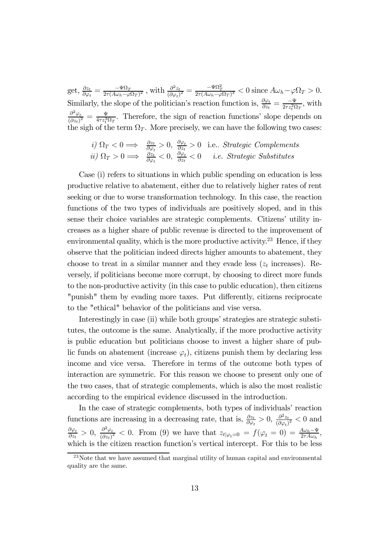get,  $\frac{\partial z_t}{\partial \varphi_t} = \frac{-\Psi \Omega_T}{2\tau (A\omega_h - \varphi \Omega_T)^2}$ , with  $\frac{\partial^2 z_t}{(\partial \varphi_t)^2} = \frac{-\Psi \Omega_T^2}{2\tau (A\omega_h - \varphi \Omega_T)^3} < 0$  since  $A\omega_h - \varphi \Omega_T > 0$ . Similarly, the slope of the politician's reaction function is,  $\frac{\partial \varphi_t}{\partial z_t} = \frac{-\Psi}{2\tau z_t^2 \Omega_T}$ , with  $\partial^2\varphi_t$  $\frac{\partial^2 \varphi_t}{(\partial z_t)^2} = \frac{\Psi}{4\tau z_t^3 \Omega_T}$ . Therefore, the sign of reaction functions' slope depends on the sigh of the term  $\Omega_T$ . More precisely, we can have the following two cases:

*i)* 
$$
\Omega_T < 0 \implies \frac{\partial z_t}{\partial \varphi_t} > 0
$$
,  $\frac{\partial \varphi_t}{\partial z_t} > 0$  i.e., *Strategyic Complements*  
*ii)*  $\Omega_T > 0 \implies \frac{\partial z_t}{\partial \varphi_t} < 0$ ,  $\frac{\partial \varphi_t}{\partial z_t} < 0$  *i.e. Strategyic Substitutes*

Case (i) refers to situations in which public spending on education is less productive relative to abatement, either due to relatively higher rates of rent seeking or due to worse transformation technology. In this case, the reaction functions of the two types of individuals are positively sloped, and in this sense their choice variables are strategic complements. Citizens' utility increases as a higher share of public revenue is directed to the improvement of environmental quality, which is the more productive activity.<sup>23</sup> Hence, if they observe that the politician indeed directs higher amounts to abatement, they choose to treat in a similar manner and they evade less  $(z_t$  increases). Reversely, if politicians become more corrupt, by choosing to direct more funds to the non-productive activity (in this case to public education), then citizens "punish" them by evading more taxes. Put differently, citizens reciprocate to the "ethical" behavior of the politicians and vise versa.

Interestingly in case (ii) while both groups' strategies are strategic substitutes, the outcome is the same. Analytically, if the more productive activity is public education but politicians choose to invest a higher share of public funds on abatement (increase  $\varphi_t$ ), citizens punish them by declaring less income and vice versa. Therefore in terms of the outcome both types of interaction are symmetric. For this reason we choose to present only one of the two cases, that of strategic complements, which is also the most realistic according to the empirical evidence discussed in the introduction.

In the case of strategic complements, both types of individuals' reaction functions are increasing in a decreasing rate, that is,  $\frac{\partial z_t}{\partial \varphi_t} > 0$ ,  $\frac{\partial^2 z_t}{(\partial \varphi_t)^2} < 0$  and  $\frac{\partial \varphi_t}{\partial z_t} > 0$ ,  $\frac{\partial^2 \varphi_t}{(\partial z_t)^2} < 0$ . From (9) we have that  $z_t|_{\varphi_t=0} = f(\varphi_t=0) = \frac{A\omega_b - \Psi}{2\tau A\omega_b}$ , which is the citizen reaction function's vertical intercept. For this to be less

 $^{23}$ Note that we have assumed that marginal utility of human capital and environmental quality are the same.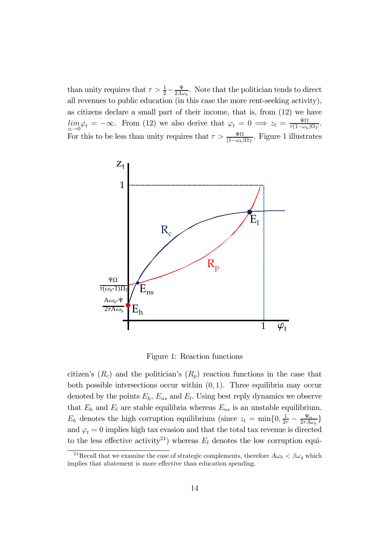than unity requires that  $\tau > \frac{1}{2} - \frac{\Psi}{2A\omega_h}$ . Note that the politician tends to direct all revenues to public education (in this case the more rent-seeking activity), as citizens declare a small part of their income, that is, from (12) we have  $\lim_{z_t \to 0} \varphi_t = -\infty$ . From (12) we also derive that  $\varphi_t = 0 \implies z_t = \frac{\Psi\Omega}{\tau(1-\omega_h)\Omega_T}$ . For this to be less than unity requires that  $\tau > \frac{\Psi\Omega}{(1-\omega_h)\Omega_T}$ . Figure 1 illustrates



Figure 1: Reaction functions

citizen's  $(R_c)$  and the politician's  $(R_p)$  reaction functions in the case that both possible intersections occur within  $(0, 1)$ . Three equilibria may occur denoted by the points  $E_h$ ,  $E_{ns}$  and  $E_l$ . Using best reply dynamics we observe that  $E_h$  and  $E_l$  are stable equilibria whereas  $E_{ns}$  is an unstable equilibrium.  $E_h$  denotes the high corruption equilibrium (since  $z_t = \min\{0, \frac{1}{2\tau} - \frac{\Psi_n}{2\tau A \omega_h}\}$ and  $\varphi_t = 0$  implies high tax evasion and that the total tax revenue is directed to the less effective activity<sup>24</sup>) whereas  $E_l$  denotes the low corruption equi-

<sup>&</sup>lt;sup>24</sup>Recall that we examine the case of strategic complements, therefore  $A\omega_h < \beta\omega_q$  which implies that abatement is more effective than education spending.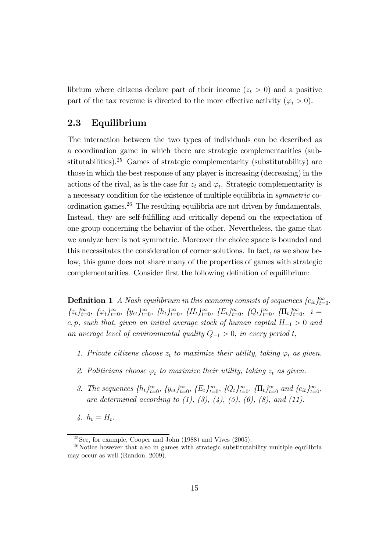librium where citizens declare part of their income  $(z_t > 0)$  and a positive part of the tax revenue is directed to the more effective activity ( $\varphi_t > 0$ ).

### 2.3 Equilibrium

The interaction between the two types of individuals can be described as a coordination game in which there are strategic complementarities (substitutabilities).<sup>25</sup> Games of strategic complementarity (substitutability) are those in which the best response of any player is increasing (decreasing) in the actions of the rival, as is the case for  $z_t$  and  $\varphi_t$ . Strategic complementarity is a necessary condition for the existence of multiple equilibria in symmetric coordination games. $^{26}$  The resulting equilibria are not driven by fundamentals. Instead, they are self-fulfilling and critically depend on the expectation of one group concerning the behavior of the other. Nevertheless, the game that we analyze here is not symmetric. Moreover the choice space is bounded and this necessitates the consideration of corner solutions. In fact, as we show below, this game does not share many of the properties of games with strategic complementarities. Consider first the following definition of equilibrium:

**Definition 1** A Nash equilibrium in this economy consists of sequences  ${c_{it}}_{t=0}^{\infty}$ ,  ${z_t}_{t=0}^{\infty}, \{\varphi_t\}_{t=0}^{\infty}, \{y_{ct}\}_{t=0}^{\infty}, \{h_t\}_{t=0}^{\infty}, \{H_t\}_{t=0}^{\infty}, \{E_t\}_{t=0}^{\infty}, \{Q_t\}_{t=0}^{\infty}, \{\Pi_t\}_{t=0}^{\infty}, i=1$ c, p, such that, given an initial average stock of human capital  $H_{-1} > 0$  and an average level of environmental quality  $Q_{-1} > 0$ , in every period t,

- 1. Private citizens choose  $z_t$  to maximize their utility, taking  $\varphi_t$  as given.
- 2. Politicians choose  $\varphi_t$  to maximize their utility, taking  $z_t$  as given.
- 3. The sequences  $\{h_t\}_{t=0}^{\infty}$ ,  $\{y_{ct}\}_{t=0}^{\infty}$ ,  $\{E_t\}_{t=0}^{\infty}$ ,  $\{Q_t\}_{t=0}^{\infty}$ ,  $\{\Pi_t\}_{t=0}^{\infty}$  and  $\{c_{it}\}_{t=0}^{\infty}$ , are determined according to  $(1)$ ,  $(3)$ ,  $(4)$ ,  $(5)$ ,  $(6)$ ,  $(8)$ , and  $(11)$ .
- $4. h_t = H_t.$

 $25$ See, for example, Cooper and John (1988) and Vives (2005).

 $26$ Notice however that also in games with strategic substitutability multiple equilibria may occur as well (Randon, 2009).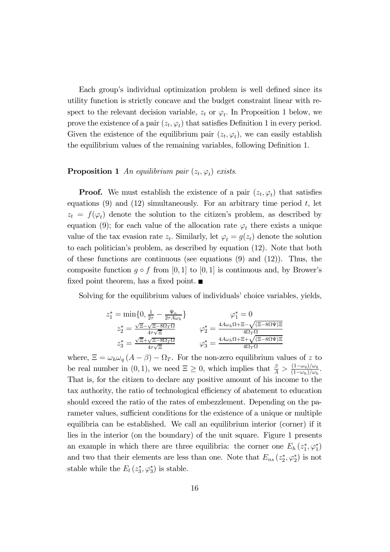Each group's individual optimization problem is well defined since its utility function is strictly concave and the budget constraint linear with respect to the relevant decision variable,  $z_t$  or  $\varphi_t$ . In Proposition 1 below, we prove the existence of a pair  $(z_t, \varphi_t)$  that satisfies Definition 1 in every period. Given the existence of the equilibrium pair  $(z_t, \varphi_t)$ , we can easily establish the equilibrium values of the remaining variables, following Definition 1.

### **Proposition 1** An equilibrium pair  $(z_t, \varphi_t)$  exists.

**Proof.** We must establish the existence of a pair  $(z_t, \varphi_t)$  that satisfies equations  $(9)$  and  $(12)$  simultaneously. For an arbitrary time period t, let  $z_t = f(\varphi_t)$  denote the solution to the citizen's problem, as described by equation (9); for each value of the allocation rate  $\varphi_t$  there exists a unique value of the tax evasion rate  $z_t$ . Similarly, let  $\varphi_t = g(z_t)$  denote the solution to each politician's problem, as described by equation (12). Note that both of these functions are continuous (see equations  $(9)$  and  $(12)$ ). Thus, the composite function  $q \circ f$  from [0, 1] to [0, 1] is continuous and, by Brower's fixed point theorem, has a fixed point.  $\blacksquare$ 

Solving for the equilibrium values of individuals' choice variables, yields,

$$
z_1^* = \min\{0, \frac{1}{2\tau} - \frac{\Psi_n}{2\tau A\omega_h}\} \qquad \varphi_1^* = 0
$$
  

$$
z_2^* = \frac{\sqrt{\Xi} - \sqrt{\Xi - 8\Omega_T \Omega}}{4\tau \sqrt{\Xi}} \qquad \varphi_2^* = \frac{4A\omega_h \Omega + \Xi - \sqrt{(\Xi - 8\Omega \Psi)\Xi}}{4\Omega_T \Omega}
$$
  

$$
z_3^* = \frac{\sqrt{\Xi} + \sqrt{\Xi - 8\Omega_T \Omega}}{4\tau \sqrt{\Xi}} \qquad \varphi_3^* = \frac{4A\omega_h \Omega + \Xi + \sqrt{(\Xi - 8\Omega \Psi)\Xi}}{4\Omega_T \Omega}
$$

where,  $\Xi = \omega_h \omega_q (A - \beta) - \Omega_T$ . For the non-zero equilibrium values of z to be real number in  $(0, 1)$ , we need  $\Xi \geq 0$ , which implies that  $\frac{\beta}{A} > \frac{(1-\omega_q)/\omega_q}{(1-\omega_h)/\omega_h}$ . That is, for the citizen to declare any positive amount of his income to the tax authority, the ratio of technological efficiency of abatement to education should exceed the ratio of the rates of embezzlement. Depending on the parameter values, sufficient conditions for the existence of a unique or multiple equilibria can be established. We call an equilibrium interior (corner) if it lies in the interior (on the boundary) of the unit square. Figure 1 presents an example in which there are three equilibria: the corner one  $E_h(z_1^*, \varphi_1^*)$ and two that their elements are less than one. Note that  $E_{ns}(z_2^*, \varphi_2^*)$  is not stable while the  $E_l(z_3^*, \varphi_3^*)$  is stable.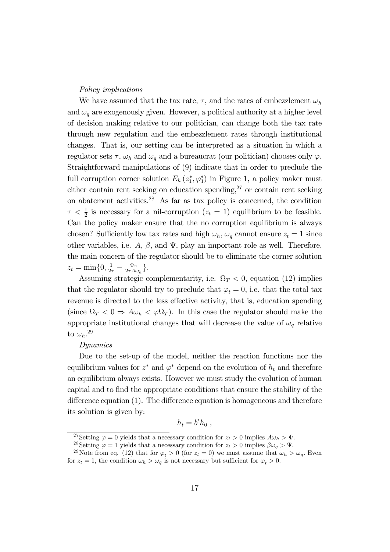### Policy implications

We have assumed that the tax rate,  $\tau$ , and the rates of embezzlement  $\omega_h$ and  $\omega_q$  are exogenously given. However, a political authority at a higher level of decision making relative to our politician, can change both the tax rate through new regulation and the embezzlement rates through institutional changes. That is, our setting can be interpreted as a situation in which a regulator sets  $\tau$ ,  $\omega_h$  and  $\omega_q$  and a bureaucrat (our politician) chooses only  $\varphi$ . Straightforward manipulations of (9) indicate that in order to preclude the full corruption corner solution  $E_h(z_1^*, \varphi_1^*)$  in Figure 1, a policy maker must either contain rent seeking on education spending, $27$  or contain rent seeking on abatement activities.28 As far as tax policy is concerned, the condition  $\tau < \frac{1}{2}$  is necessary for a nil-corruption  $(z_t = 1)$  equilibrium to be feasible. Can the policy maker ensure that the no corruption equilibrium is always chosen? Sufficiently low tax rates and high  $\omega_h$ ,  $\omega_q$  cannot ensure  $z_t = 1$  since other variables, i.e.  $A, \beta$ , and  $\Psi$ , play an important role as well. Therefore, the main concern of the regulator should be to eliminate the corner solution  $z_t = \min\{0, \frac{1}{2\tau} - \frac{\Psi_n}{2\tau A \omega_h}\}.$ 

Assuming strategic complementarity, i.e.  $\Omega_T < 0$ , equation (12) implies that the regulator should try to preclude that  $\varphi_t = 0$ , i.e. that the total tax revenue is directed to the less effective activity, that is, education spending (since  $\Omega_T < 0 \Rightarrow A\omega_h < \varphi \Omega_T$ ). In this case the regulator should make the appropriate institutional changes that will decrease the value of  $\omega_q$  relative to  $\omega_h$ .<sup>29</sup>

### Dynamics

Due to the set-up of the model, neither the reaction functions nor the equilibrium values for  $z^*$  and  $\varphi^*$  depend on the evolution of  $h_t$  and therefore an equilibrium always exists. However we must study the evolution of human capital and to find the appropriate conditions that ensure the stability of the difference equation (1). The difference equation is homogeneous and therefore its solution is given by:

$$
h_t = b^t h_0 ,
$$

<sup>&</sup>lt;sup>27</sup>Setting  $\varphi = 0$  yields that a necessary condition for  $z_t > 0$  implies  $A\omega_h > \Psi$ .<br><sup>28</sup>Setting  $\varphi = 1$  yields that a necessary condition for  $z_t > 0$  implies  $\beta \omega_q > \Psi$ .<br><sup>29</sup>Note from eq. (12) that for  $\varphi_t > 0$  (for for  $z_t = 1$ , the condition  $\omega_h > \omega_q$  is not necessary but sufficient for  $\varphi_t > 0$ .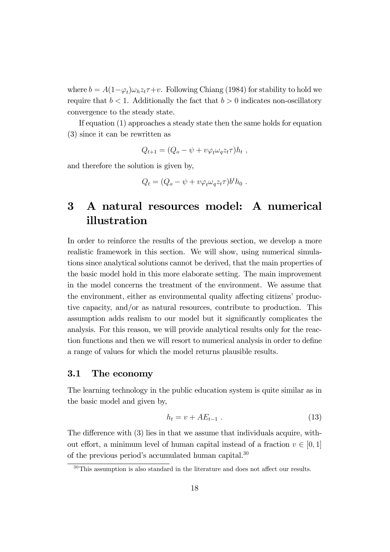where  $b = A(1-\varphi_t)\omega_h z_t + v$ . Following Chiang (1984) for stability to hold we require that  $b < 1$ . Additionally the fact that  $b > 0$  indicates non-oscillatory convergence to the steady state.

If equation (1) approaches a steady state then the same holds for equation (3) since it can be rewritten as

$$
Q_{t+1} = (Q_o - \psi + v\varphi_t\omega_q z_t \tau)h_t,
$$

and therefore the solution is given by,

$$
Q_t = (Q_o - \psi + v\varphi_t\omega_q z_t \tau) b^t h_0.
$$

# 3 A natural resources model: A numerical illustration

In order to reinforce the results of the previous section, we develop a more realistic framework in this section. We will show, using numerical simulations since analytical solutions cannot be derived, that the main properties of the basic model hold in this more elaborate setting. The main improvement in the model concerns the treatment of the environment. We assume that the environment, either as environmental quality affecting citizens' productive capacity, and/or as natural resources, contribute to production. This assumption adds realism to our model but it significantly complicates the analysis. For this reason, we will provide analytical results only for the reaction functions and then we will resort to numerical analysis in order to define a range of values for which the model returns plausible results.

### 3.1 The economy

The learning technology in the public education system is quite similar as in the basic model and given by,

$$
h_t = v + AE_{t-1} \tag{13}
$$

The difference with (3) lies in that we assume that individuals acquire, without effort, a minimum level of human capital instead of a fraction  $v \in [0,1]$ of the previous period's accumulated human capital.30

<sup>30</sup>This assumption is also standard in the literature and does not affect our results.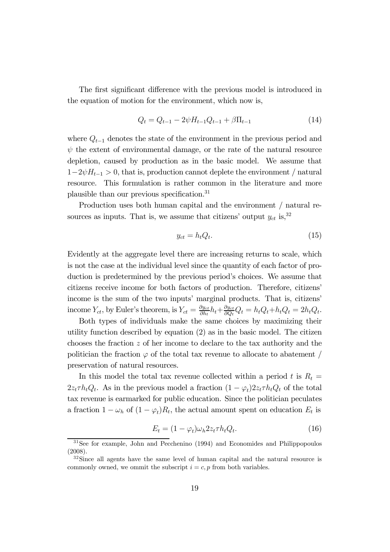The first significant difference with the previous model is introduced in the equation of motion for the environment, which now is,

$$
Q_t = Q_{t-1} - 2\psi H_{t-1} Q_{t-1} + \beta \Pi_{t-1}
$$
\n(14)

where  $Q_{t-1}$  denotes the state of the environment in the previous period and  $\psi$  the extent of environmental damage, or the rate of the natural resource depletion, caused by production as in the basic model. We assume that  $1-2\psi H_{t-1} > 0$ , that is, production cannot deplete the environment / natural resource. This formulation is rather common in the literature and more plausible than our previous specification.31

Production uses both human capital and the environment / natural resources as inputs. That is, we assume that citizens' output  $y_{ct}$  is,  $32$ 

$$
y_{ct} = h_t Q_t. \tag{15}
$$

Evidently at the aggregate level there are increasing returns to scale, which is not the case at the individual level since the quantity of each factor of production is predetermined by the previous period's choices. We assume that citizens receive income for both factors of production. Therefore, citizens' income is the sum of the two inputs' marginal products. That is, citizens' income  $Y_{ct}$ , by Euler's theorem, is  $Y_{ct} = \frac{\partial y_{ct}}{\partial h_t} h_t + \frac{\partial y_{ct}}{\partial Q_t} Q_t = h_t Q_t + h_t Q_t = 2h_t Q_t$ .

Both types of individuals make the same choices by maximizing their utility function described by equation (2) as in the basic model. The citizen chooses the fraction z of her income to declare to the tax authority and the politician the fraction  $\varphi$  of the total tax revenue to allocate to abatement / preservation of natural resources.

In this model the total tax revenue collected within a period t is  $R_t =$  $2z_t \tau h_t Q_t$ . As in the previous model a fraction  $(1 - \varphi_t) 2z_t \tau h_t Q_t$  of the total tax revenue is earmarked for public education. Since the politician peculates a fraction  $1 - \omega_h$  of  $(1 - \varphi_t)R_t$ , the actual amount spent on education  $E_t$  is

$$
E_t = (1 - \varphi_t)\omega_h 2z_t \tau h_t Q_t.
$$
\n(16)

<sup>31</sup>See for example, John and Pecchenino (1994) and Economides and Philippopoulos (2008).

<sup>&</sup>lt;sup>32</sup>Since all agents have the same level of human capital and the natural resource is commonly owned, we ommit the subscript  $i = c, p$  from both variables.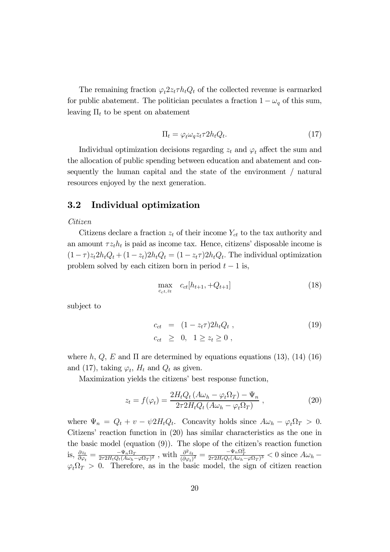The remaining fraction  $\varphi_t 2z_t \tau h_t Q_t$  of the collected revenue is earmarked for public abatement. The politician peculates a fraction  $1 - \omega_q$  of this sum, leaving  $\Pi_t$  to be spent on abatement

$$
\Pi_t = \varphi_t \omega_q z_t \tau 2h_t Q_t. \tag{17}
$$

Individual optimization decisions regarding  $z_t$  and  $\varphi_t$  affect the sum and the allocation of public spending between education and abatement and consequently the human capital and the state of the environment / natural resources enjoyed by the next generation.

### 3.2 Individual optimization

### Citizen

Citizens declare a fraction  $z_t$  of their income  $Y_{ct}$  to the tax authority and an amount  $\tau z_t h_t$  is paid as income tax. Hence, citizens' disposable income is  $(1-\tau)z_t2h_tQ_t + (1-z_t)2h_tQ_t = (1-z_t\tau)2h_tQ_t$ . The individual optimization problem solved by each citizen born in period  $t - 1$  is,

$$
\max_{c_{ct}, z_t} c_{ct}[h_{t+1}, +Q_{t+1}] \tag{18}
$$

subject to

$$
c_{ct} = (1 - z_t \tau) 2h_t Q_t ,
$$
  
\n
$$
c_{ct} \geq 0, \quad 1 \geq z_t \geq 0 ,
$$
\n
$$
(19)
$$

where h, Q, E and  $\Pi$  are determined by equations equations (13), (14) (16) and (17), taking  $\varphi_t$ ,  $H_t$  and  $Q_t$  as given.

Maximization yields the citizens' best response function,

$$
z_t = f(\varphi_t) = \frac{2H_tQ_t(A\omega_h - \varphi_t\Omega_T) - \Psi_n}{2\tau 2H_tQ_t(A\omega_h - \varphi_t\Omega_T)},
$$
\n(20)

where  $\Psi_n = Q_t + v - \psi 2H_tQ_t$ . Concavity holds since  $A\omega_h - \varphi_t \Omega_T > 0$ . Citizens' reaction function in (20) has similar characteristics as the one in the basic model (equation (9)). The slope of the citizen's reaction function is,  $\frac{\partial z_t}{\partial \varphi_t} = \frac{-\Psi_n \Omega_T}{2\tau 2H_tQ_t(A\omega_h - \varphi \Omega_T)^2}$ , with  $\frac{\partial^2 z_t}{(\partial \varphi_t)^2} = \frac{-\Psi_n \Omega_T^2}{2\tau 2H_tQ_t(A\omega_h - \varphi \Omega_T)^3} < 0$  since  $A\omega_h$  $\varphi_t \Omega_T > 0$ . Therefore, as in the basic model, the sign of citizen reaction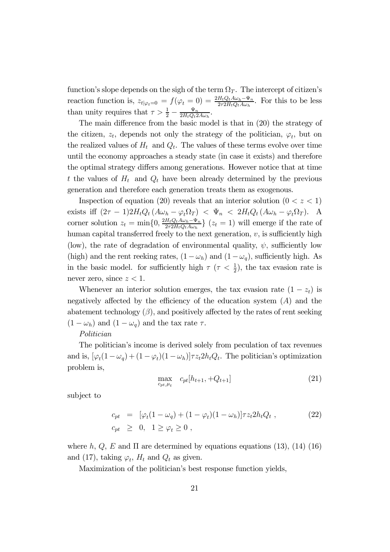function's slope depends on the sigh of the term  $\Omega_T$ . The intercept of citizen's reaction function is,  $z_{t|\varphi_t=0} = f(\varphi_t = 0) = \frac{2H_tQ_tA\omega_h-\Psi_n}{2\tau^2H_tQ_tA\omega_h}$ . For this to be less than unity requires that  $\tau > \frac{1}{2} - \frac{\Psi_n}{2H_tQ_t2A\omega_h}$ .

The main difference from the basic model is that in (20) the strategy of the citizen,  $z_t$ , depends not only the strategy of the politician,  $\varphi_t$ , but on the realized values of  $H_t$  and  $Q_t$ . The values of these terms evolve over time until the economy approaches a steady state (in case it exists) and therefore the optimal strategy differs among generations. However notice that at time t the values of  $H_t$  and  $Q_t$  have been already determined by the previous generation and therefore each generation treats them as exogenous.

Inspection of equation (20) reveals that an interior solution ( $0 < z < 1$ ) exists iff  $(2\tau - 1)2H_tQ_t(A\omega_h - \varphi_t\Omega_T) < \Psi_n < 2H_tQ_t(A\omega_h - \varphi_t\Omega_T)$ . A corner solution  $z_t = \min\{0, \frac{2H_tQ_tA\omega_h - \Psi_n}{2\tau 2H_tQ_tA\omega_h}\}\ (z_t = 1)$  will emerge if the rate of human capital transferred freely to the next generation,  $v$ , is sufficiently high (low), the rate of degradation of environmental quality,  $\psi$ , sufficiently low (high) and the rent reeking rates,  $(1 - \omega_h)$  and  $(1 - \omega_q)$ , sufficiently high. As in the basic model. for sufficiently high  $\tau$  ( $\tau < \frac{1}{2}$ ), the tax evasion rate is never zero, since  $z < 1$ .

Whenever an interior solution emerges, the tax evasion rate  $(1 - z_t)$  is negatively affected by the efficiency of the education system  $(A)$  and the abatement technology  $(\beta)$ , and positively affected by the rates of rent seeking  $(1 - \omega_h)$  and  $(1 - \omega_q)$  and the tax rate  $\tau$ .

### Politician

The politician's income is derived solely from peculation of tax revenues and is,  $[\varphi_t(1-\omega_q) + (1-\varphi_t)(1-\omega_h)]\tau z_t 2h_t Q_t$ . The politician's optimization problem is,

$$
\max_{c_{pt}, \mu_t} c_{pt}[h_{t+1}, +Q_{t+1}] \tag{21}
$$

subject to

$$
c_{pt} = [\varphi_t(1 - \omega_q) + (1 - \varphi_t)(1 - \omega_h)]\tau z_t 2h_t Q_t ,
$$
  
\n
$$
c_{pt} \geq 0, \quad 1 \geq \varphi_t \geq 0 ,
$$
\n
$$
(22)
$$

where h, Q, E and  $\Pi$  are determined by equations equations (13), (14) (16) and (17), taking  $\varphi_t$ ,  $H_t$  and  $Q_t$  as given.

Maximization of the politician's best response function yields,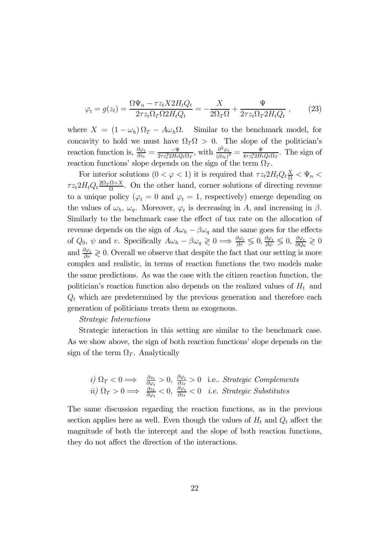$$
\varphi_t = g(z_t) = \frac{\Omega \Psi_n - \tau z_t X 2 H_t Q_t}{2 \tau z_t \Omega_T \Omega 2 H_t Q_t} = -\frac{X}{2 \Omega_T \Omega} + \frac{\Psi}{2 \tau z_t \Omega_T 2 H_t Q_t} ,\qquad (23)
$$

where  $X = (1 - \omega_h) \Omega_T - A \omega_h \Omega$ . Similar to the benchmark model, for concavity to hold we must have  $\Omega_T \Omega > 0$ . The slope of the politician's reaction function is,  $\frac{\partial \varphi_t}{\partial z_t} = \frac{-\Psi}{2\tau z_t^2 2H_tQ_t\Omega_T}$ , with  $\frac{\partial^2 \varphi_t}{(\partial z_t)^2} = \frac{\Psi}{4\tau z_t^3 2H_tQ_t\Omega_T}$ . The sign of reaction functions' slope depends on the sign of the term  $\Omega_T$ .

For interior solutions  $(0 < \varphi < 1)$  it is required that  $\tau z_t 2H_t Q_t \frac{X}{\Omega} < \Psi_n <$  $\tau z_t 2H_tQ_t \frac{2\Omega_T \Omega + X}{\Omega}$ . On the other hand, corner solutions of directing revenue to a unique policy ( $\varphi_t = 0$  and  $\varphi_t = 1$ , respectively) emerge depending on the values of  $\omega_h$ ,  $\omega_q$ . Moreover,  $\varphi_t$  is decreasing in A, and increasing in  $\beta$ . Similarly to the benchmark case the effect of tax rate on the allocation of revenue depends on the sign of  $A\omega_h - \beta\omega_q$  and the same goes for the effects of  $Q_0$ ,  $\psi$  and v. Specifically  $A\omega_h - \beta \omega_q \geq 0 \Longrightarrow \frac{\partial \varphi_t}{\partial \tau} \leq 0$ ,  $\frac{\partial \varphi_t}{\partial \psi} \leq 0$ ,  $\frac{\partial \varphi_t}{\partial Q_0} \geq 0$ and  $\frac{\partial \varphi_t}{\partial v} \geq 0$ . Overall we observe that despite the fact that our setting is more complex and realistic, in terms of reaction functions the two models make the same predictions. As was the case with the citizen reaction function, the politician's reaction function also depends on the realized values of  $H_t$  and  $Q_t$  which are predetermined by the previous generation and therefore each generation of politicians treats them as exogenous.

### Strategic Interactions

Strategic interaction in this setting are similar to the benchmark case. As we show above, the sign of both reaction functions' slope depends on the sign of the term  $\Omega_T$ . Analytically

*i)* 
$$
\Omega_T < 0 \implies \frac{\partial z_t}{\partial \varphi_t} > 0
$$
,  $\frac{\partial \varphi_t}{\partial z_t} > 0$  i.e., *Strategy Complements*  
*ii)*  $\Omega_T > 0 \implies \frac{\partial z_t}{\partial \varphi_t} < 0$ ,  $\frac{\partial \varphi_t}{\partial z_t} < 0$  *i.e. Strategy Substitutes*

The same discussion regarding the reaction functions, as in the previous section applies here as well. Even though the values of  $H_t$  and  $Q_t$  affect the magnitude of both the intercept and the slope of both reaction functions, they do not affect the direction of the interactions.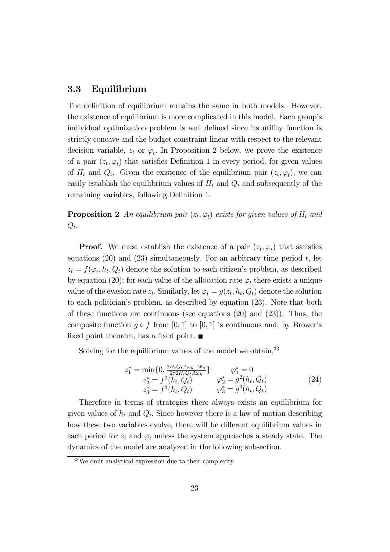### 3.3 Equilibrium

The definition of equilibrium remains the same in both models. However, the existence of equilibrium is more complicated in this model. Each group's individual optimization problem is well defined since its utility function is strictly concave and the budget constraint linear with respect to the relevant decision variable,  $z_t$  or  $\varphi_t$ . In Proposition 2 below, we prove the existence of a pair  $(z_t, \varphi_t)$  that satisfies Definition 1 in every period, for given values of  $H_t$  and  $Q_t$ . Given the existence of the equilibrium pair  $(z_t, \varphi_t)$ , we can easily establish the equilibrium values of  $H_t$  and  $Q_t$  and subsequently of the remaining variables, following Definition 1.

**Proposition 2** An equilibrium pair  $(z_t, \varphi_t)$  exists for given values of  $H_t$  and  $Q_t$ .

**Proof.** We must establish the existence of a pair  $(z_t, \varphi_t)$  that satisfies equations  $(20)$  and  $(23)$  simultaneously. For an arbitrary time period t, let  $z_t = f(\varphi_t, h_t, Q_t)$  denote the solution to each citizen's problem, as described by equation (20); for each value of the allocation rate  $\varphi_t$  there exists a unique value of the evasion rate  $z_t$ . Similarly, let  $\varphi_t = g(z_t, h_t, Q_t)$  denote the solution to each politician's problem, as described by equation (23). Note that both of these functions are continuous (see equations (20) and (23)). Thus, the composite function  $g \circ f$  from [0, 1] to [0, 1] is continuous and, by Brower's fixed point theorem, has a fixed point.  $\blacksquare$ 

Solving for the equilibrium values of the model we obtain,  $33$ 

$$
z_1^* = \min\{0, \frac{2H_tQ_tA\omega_h - \Psi_n}{2\tau^2 H_tQ_tA\omega_h}\} \qquad \varphi_1^* = 0
$$
  
\n
$$
z_2^* = f^2(h_t, Q_t) \qquad \varphi_2^* = g^2(h_t, Q_t)
$$
  
\n
$$
z_3^* = f^3(h_t, Q_t) \qquad \varphi_3^* = g^3(h_t, Q_t)
$$
\n(24)

Therefore in terms of strategies there always exists an equilibrium for given values of  $h_t$  and  $Q_t$ . Since however there is a law of motion describing how these two variables evolve, there will be different equilibrium values in each period for  $z_t$  and  $\varphi_t$  unless the system approaches a steady state. The dynamics of the model are analyzed in the following subsection.

<sup>33</sup>We omit analytical expression due to their complexity.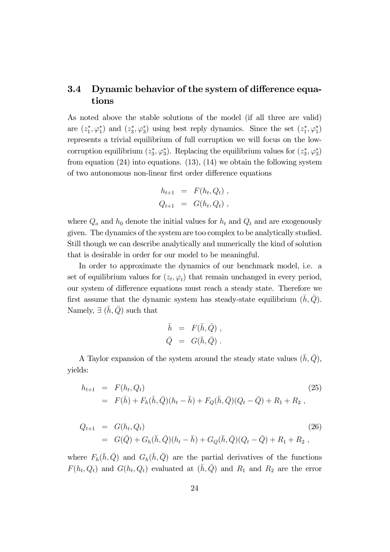### 3.4 Dynamic behavior of the system of difference equations

As noted above the stable solutions of the model (if all three are valid) are  $(z_1^*, \varphi_1^*)$  and  $(z_3^*, \varphi_3^*)$  using best reply dynamics. Since the set  $(z_1^*, \varphi_1^*)$ represents a trivial equilibrium of full corruption we will focus on the lowcorruption equilibrium  $(z_3^*, \varphi_3^*)$ . Replacing the equilibrium values for  $(z_3^*, \varphi_3^*)$ from equation  $(24)$  into equations.  $(13)$ ,  $(14)$  we obtain the following system of two autonomous non-linear first order difference equations

$$
h_{t+1} = F(h_t, Q_t) ,
$$
  

$$
Q_{t+1} = G(h_t, Q_t) ,
$$

where  $Q_o$  and  $h_0$  denote the initial values for  $h_t$  and  $Q_t$  and are exogenously given. The dynamics of the system are too complex to be analytically studied. Still though we can describe analytically and numerically the kind of solution that is desirable in order for our model to be meaningful.

In order to approximate the dynamics of our benchmark model, i.e. a set of equilibrium values for  $(z_t, \varphi_t)$  that remain unchanged in every period, our system of difference equations must reach a steady state. Therefore we first assume that the dynamic system has steady-state equilibrium  $(\bar{h}, \bar{Q})$ . Namely,  $\exists (h, Q)$  such that

$$
\begin{array}{rcl} \bar{h} & = & F(\bar{h},\bar{Q}) \ , \\ \bar{Q} & = & G(\bar{h},\bar{Q}) \ . \end{array}
$$

A Taylor expansion of the system around the steady state values  $(\bar{h}, \bar{Q})$ , yields:

$$
h_{t+1} = F(h_t, Q_t)
$$
  
=  $F(\bar{h}) + F_h(\bar{h}, \bar{Q})(h_t - \bar{h}) + F_Q(\bar{h}, \bar{Q})(Q_t - \bar{Q}) + R_1 + R_2,$  (25)

$$
Q_{t+1} = G(h_t, Q_t)
$$
  
=  $G(\bar{Q}) + G_h(\bar{h}, \bar{Q})(h_t - \bar{h}) + G_Q(\bar{h}, \bar{Q})(Q_t - \bar{Q}) + R_1 + R_2,$  (26)

where  $F_h(\bar{h}, \bar{Q})$  and  $G_h(\bar{h}, \bar{Q})$  are the partial derivatives of the functions  $F(h_t, Q_t)$  and  $G(h_t, Q_t)$  evaluated at  $(\bar{h}, \bar{Q})$  and  $R_1$  and  $R_2$  are the error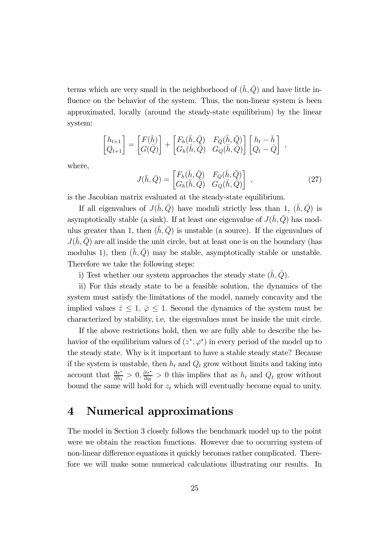terms which are very small in the neighborhood of  $(\bar{h}, \bar{Q})$  and have little influence on the behavior of the system. Thus, the non-linear system is been approximated, locally (around the steady-state equilibrium) by the linear system:

$$
\begin{bmatrix} h_{t+1} \\ Q_{t+1} \end{bmatrix} = \begin{bmatrix} F(\bar{h}) \\ G(\bar{Q}) \end{bmatrix} + \begin{bmatrix} F_h(\bar{h}, \bar{Q}) & F_Q(\bar{h}, \bar{Q}) \\ G_h(\bar{h}, \bar{Q}) & G_Q(\bar{h}, \bar{Q}) \end{bmatrix} \begin{bmatrix} h_t - \bar{h} \\ Q_t - \bar{Q} \end{bmatrix} ,
$$

where,

$$
J(\bar{h}, \bar{Q}) = \begin{bmatrix} F_h(\bar{h}, \bar{Q}) & F_Q(\bar{h}, \bar{Q}) \\ G_h(\bar{h}, \bar{Q}) & G_Q(\bar{h}, \bar{Q}) \end{bmatrix} ,
$$
 (27)

is the Jacobian matrix evaluated at the steady-state equilibrium.

If all eigenvalues of  $J(\bar{h}, \bar{Q})$  have moduli strictly less than 1,  $(\bar{h}, \bar{Q})$  is asymptotically stable (a sink). If at least one eigenvalue of  $J(\bar{h}, \bar{Q})$  has modulus greater than 1, then  $(h, \overline{Q})$  is unstable (a source). If the eigenvalues of  $J(h, Q)$  are all inside the unit circle, but at least one is on the boundary (has modulus 1), then  $(\bar{h}, \bar{Q})$  may be stable, asymptotically stable or unstable. Therefore we take the following steps:

i) Test whether our system approaches the steady state  $(\bar{h}, \bar{Q})$ .

ii) For this steady state to be a feasible solution, the dynamics of the system must satisfy the limitations of the model, namely concavity and the implied values  $\bar{z} \leq 1$ ,  $\bar{\varphi} \leq 1$ . Second the dynamics of the system must be characterized by stability, i.e. the eigenvalues must be inside the unit circle.

If the above restrictions hold, then we are fully able to describe the behavior of the equilibrium values of  $(z^*, \varphi^*)$  in every period of the model up to the steady state. Why is it important to have a stable steady state? Because if the system is unstable, then  $h_t$  and  $Q_t$  grow without limits and taking into account that  $\frac{\partial z^*}{\partial h_t} > 0$ ,  $\frac{\partial z^*}{\partial q_t} > 0$  this implies that as  $h_t$  and  $Q_t$  grow without bound the same will hold for  $z_t$  which will eventually become equal to unity.

### 4 Numerical approximations

The model in Section 3 closely follows the benchmark model up to the point were we obtain the reaction functions. However due to occurring system of non-linear difference equations it quickly becomes rather complicated. Therefore we will make some numerical calculations illustrating our results. In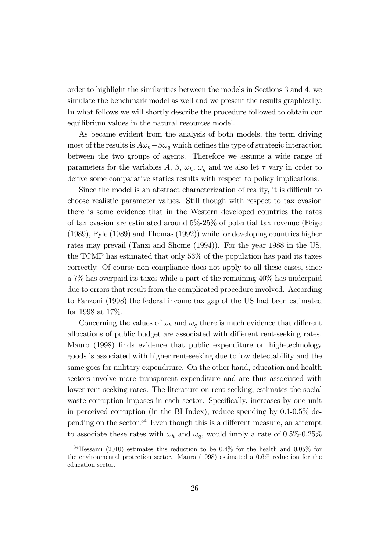order to highlight the similarities between the models in Sections 3 and 4, we simulate the benchmark model as well and we present the results graphically. In what follows we will shortly describe the procedure followed to obtain our equilibrium values in the natural resources model.

As became evident from the analysis of both models, the term driving most of the results is  $A\omega_h-\beta\omega_q$  which defines the type of strategic interaction between the two groups of agents. Therefore we assume a wide range of parameters for the variables A,  $\beta$ ,  $\omega_h$ ,  $\omega_q$  and we also let  $\tau$  vary in order to derive some comparative statics results with respect to policy implications.

Since the model is an abstract characterization of reality, it is difficult to choose realistic parameter values. Still though with respect to tax evasion there is some evidence that in the Western developed countries the rates of tax evasion are estimated around 5%-25% of potential tax revenue (Feige (1989), Pyle (1989) and Thomas (1992)) while for developing countries higher rates may prevail (Tanzi and Shome (1994)). For the year 1988 in the US, the TCMP has estimated that only 53% of the population has paid its taxes correctly. Of course non compliance does not apply to all these cases, since a 7% has overpaid its taxes while a part of the remaining 40% has underpaid due to errors that result from the complicated procedure involved. According to Fanzoni (1998) the federal income tax gap of the US had been estimated for 1998 at 17%.

Concerning the values of  $\omega_h$  and  $\omega_q$  there is much evidence that different allocations of public budget are associated with different rent-seeking rates. Mauro (1998) finds evidence that public expenditure on high-technology goods is associated with higher rent-seeking due to low detectability and the same goes for military expenditure. On the other hand, education and health sectors involve more transparent expenditure and are thus associated with lower rent-seeking rates. The literature on rent-seeking, estimates the social waste corruption imposes in each sector. Specifically, increases by one unit in perceived corruption (in the BI Index), reduce spending by 0.1-0.5% depending on the sector.<sup>34</sup> Even though this is a different measure, an attempt to associate these rates with  $\omega_h$  and  $\omega_q$ , would imply a rate of 0.5%-0.25%

<sup>34</sup>Hessami (2010) estimates this reduction to be 0.4% for the health and 0.05% for the environmental protection sector. Mauro (1998) estimated a 0.6% reduction for the education sector.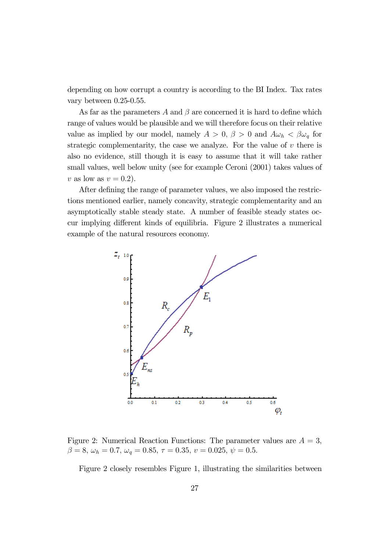depending on how corrupt a country is according to the BI Index. Tax rates vary between 0.25-0.55.

As far as the parameters A and  $\beta$  are concerned it is hard to define which range of values would be plausible and we will therefore focus on their relative value as implied by our model, namely  $A > 0$ ,  $\beta > 0$  and  $A\omega_h < \beta\omega_q$  for strategic complementarity, the case we analyze. For the value of  $v$  there is also no evidence, still though it is easy to assume that it will take rather small values, well below unity (see for example Ceroni (2001) takes values of v as low as  $v = 0.2$ ).

After defining the range of parameter values, we also imposed the restrictions mentioned earlier, namely concavity, strategic complementarity and an asymptotically stable steady state. A number of feasible steady states occur implying different kinds of equilibria. Figure 2 illustrates a numerical example of the natural resources economy.



Figure 2: Numerical Reaction Functions: The parameter values are  $A = 3$ ,  $\beta = 8, \omega_h = 0.7, \omega_q = 0.85, \tau = 0.35, v = 0.025, \psi = 0.5.$ 

Figure 2 closely resembles Figure 1, illustrating the similarities between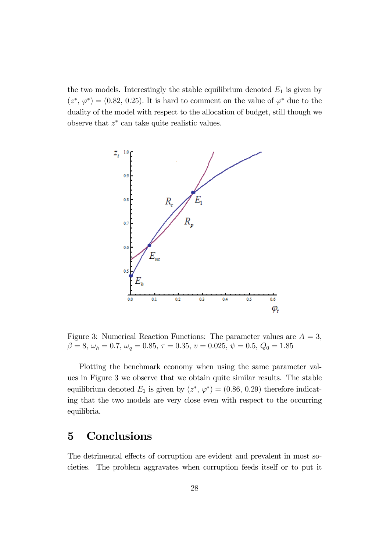the two models. Interestingly the stable equilibrium denoted  $E_1$  is given by  $(z^*, \varphi^*) = (0.82, 0.25)$ . It is hard to comment on the value of  $\varphi^*$  due to the duality of the model with respect to the allocation of budget, still though we observe that  $z^*$  can take quite realistic values.



Figure 3: Numerical Reaction Functions: The parameter values are  $A = 3$ ,  $\beta = 8, \omega_h = 0.7, \omega_q = 0.85, \tau = 0.35, v = 0.025, \psi = 0.5, Q_0 = 1.85$ 

Plotting the benchmark economy when using the same parameter values in Figure 3 we observe that we obtain quite similar results. The stable equilibrium denoted  $E_1$  is given by  $(z^*, \varphi^*) = (0.86, 0.29)$  therefore indicating that the two models are very close even with respect to the occurring equilibria.

# 5 Conclusions

The detrimental effects of corruption are evident and prevalent in most societies. The problem aggravates when corruption feeds itself or to put it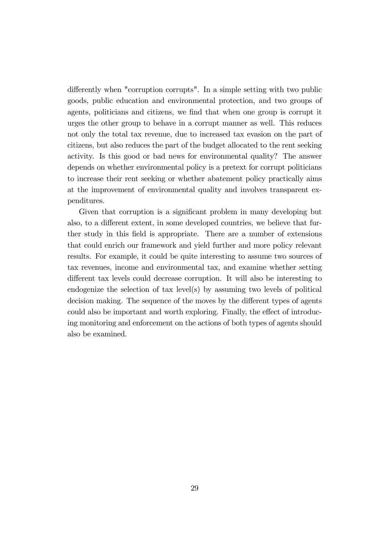differently when "corruption corrupts". In a simple setting with two public goods, public education and environmental protection, and two groups of agents, politicians and citizens, we find that when one group is corrupt it urges the other group to behave in a corrupt manner as well. This reduces not only the total tax revenue, due to increased tax evasion on the part of citizens, but also reduces the part of the budget allocated to the rent seeking activity. Is this good or bad news for environmental quality? The answer depends on whether environmental policy is a pretext for corrupt politicians to increase their rent seeking or whether abatement policy practically aims at the improvement of environmental quality and involves transparent expenditures.

Given that corruption is a significant problem in many developing but also, to a different extent, in some developed countries, we believe that further study in this field is appropriate. There are a number of extensions that could enrich our framework and yield further and more policy relevant results. For example, it could be quite interesting to assume two sources of tax revenues, income and environmental tax, and examine whether setting different tax levels could decrease corruption. It will also be interesting to endogenize the selection of tax level(s) by assuming two levels of political decision making. The sequence of the moves by the different types of agents could also be important and worth exploring. Finally, the effect of introducing monitoring and enforcement on the actions of both types of agents should also be examined.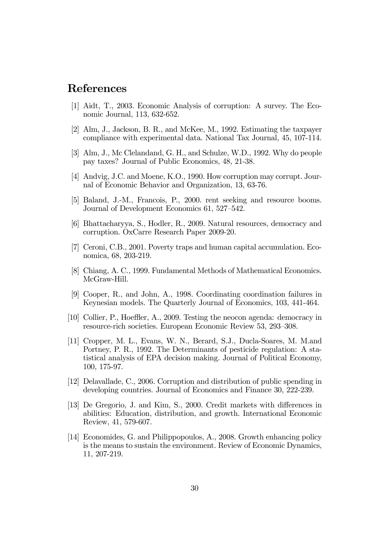# References

- [1] Aidt, T., 2003. Economic Analysis of corruption: A survey. The Economic Journal, 113, 632-652.
- [2] Alm, J., Jackson, B. R., and McKee, M., 1992. Estimating the taxpayer compliance with experimental data. National Tax Journal, 45, 107-114.
- [3] Alm, J., Mc Clelandand, G. H., and Schulze, W.D., 1992. Why do people pay taxes? Journal of Public Economics, 48, 21-38.
- [4] Andvig, J.C. and Moene, K.O., 1990. How corruption may corrupt. Journal of Economic Behavior and Organization, 13, 63-76.
- [5] Baland, J.-M., Francois, P., 2000. rent seeking and resource booms. Journal of Development Economics 61, 527—542.
- [6] Bhattacharyya, S., Hodler, R., 2009. Natural resources, democracy and corruption. OxCarre Research Paper 2009-20.
- [7] Ceroni, C.B., 2001. Poverty traps and human capital accumulation. Economica, 68, 203-219.
- [8] Chiang, A. C., 1999. Fundamental Methods of Mathematical Economics. McGraw-Hill.
- [9] Cooper, R., and John, A., 1998. Coordinating coordination failures in Keynesian models. The Quarterly Journal of Economics, 103, 441-464.
- [10] Collier, P., Hoeffler, A., 2009. Testing the neocon agenda: democracy in resource-rich societies. European Economic Review 53, 293—308.
- [11] Cropper, M. L., Evans, W. N., Berard, S.J., Ducla-Soares, M. M.and Portney, P. R., 1992. The Determinants of pesticide regulation: A statistical analysis of EPA decision making. Journal of Political Economy, 100, 175-97.
- [12] Delavallade, C., 2006. Corruption and distribution of public spending in developing countries. Journal of Economics and Finance 30, 222-239.
- [13] De Gregorio, J. and Kim, S., 2000. Credit markets with differences in abilities: Education, distribution, and growth. International Economic Review, 41, 579-607.
- [14] Economides, G. and Philippopoulos, A., 2008. Growth enhancing policy is the means to sustain the environment. Review of Economic Dynamics, 11, 207-219.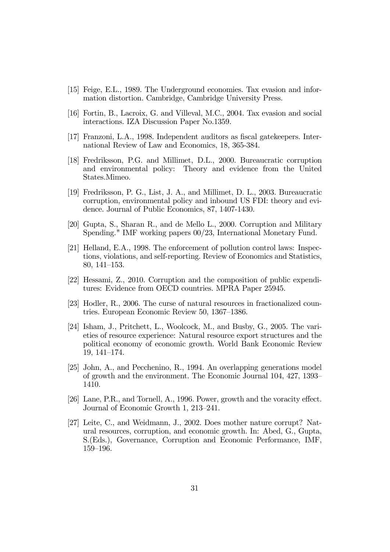- [15] Feige, E.L., 1989. The Underground economies. Tax evasion and information distortion. Cambridge, Cambridge University Press.
- [16] Fortin, B., Lacroix, G. and Villeval, M.C., 2004. Tax evasion and social interactions. IZA Discussion Paper No.1359.
- [17] Franzoni, L.A., 1998. Independent auditors as fiscal gatekeepers. International Review of Law and Economics, 18, 365-384.
- [18] Fredriksson, P.G. and Millimet, D.L., 2000. Bureaucratic corruption and environmental policy: Theory and evidence from the United States.Mimeo.
- [19] Fredriksson, P. G., List, J. A., and Millimet, D. L., 2003. Bureaucratic corruption, environmental policy and inbound US FDI: theory and evidence. Journal of Public Economics, 87, 1407-1430.
- [20] Gupta, S., Sharan R., and de Mello L., 2000. Corruption and Military Spending." IMF working papers 00/23, International Monetary Fund.
- [21] Helland, E.A., 1998. The enforcement of pollution control laws: Inspections, violations, and self-reporting. Review of Economics and Statistics, 80, 141—153.
- [22] Hessami, Z., 2010. Corruption and the composition of public expenditures: Evidence from OECD countries. MPRA Paper 25945.
- [23] Hodler, R., 2006. The curse of natural resources in fractionalized countries. European Economic Review 50, 1367—1386.
- [24] Isham, J., Pritchett, L., Woolcock, M., and Busby, G., 2005. The varieties of resource experience: Natural resource export structures and the political economy of economic growth. World Bank Economic Review 19, 141—174.
- [25] John, A., and Pecchenino, R., 1994. An overlapping generations model of growth and the environment. The Economic Journal 104, 427, 1393— 1410.
- [26] Lane, P.R., and Tornell, A., 1996. Power, growth and the voracity effect. Journal of Economic Growth 1, 213—241.
- [27] Leite, C., and Weidmann, J., 2002. Does mother nature corrupt? Natural resources, corruption, and economic growth. In: Abed, G., Gupta, S.(Eds.), Governance, Corruption and Economic Performance, IMF, 159—196.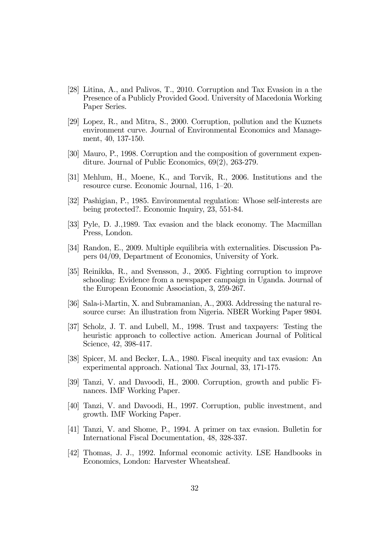- [28] Litina, A., and Palivos, T., 2010. Corruption and Tax Evasion in a the Presence of a Publicly Provided Good. University of Macedonia Working Paper Series.
- [29] Lopez, R., and Mitra, S., 2000. Corruption, pollution and the Kuznets environment curve. Journal of Environmental Economics and Management, 40, 137-150.
- [30] Mauro, P., 1998. Corruption and the composition of government expenditure. Journal of Public Economics, 69(2), 263-279.
- [31] Mehlum, H., Moene, K., and Torvik, R., 2006. Institutions and the resource curse. Economic Journal, 116, 1—20.
- [32] Pashigian, P., 1985. Environmental regulation: Whose self-interests are being protected?. Economic Inquiry, 23, 551-84.
- [33] Pyle, D. J.,1989. Tax evasion and the black economy. The Macmillan Press, London.
- [34] Randon, E., 2009. Multiple equilibria with externalities. Discussion Papers 04/09, Department of Economics, University of York.
- [35] Reinikka, R., and Svensson, J., 2005. Fighting corruption to improve schooling: Evidence from a newspaper campaign in Uganda. Journal of the European Economic Association, 3, 259-267.
- [36] Sala-i-Martin, X. and Subramanian, A., 2003. Addressing the natural resource curse: An illustration from Nigeria. NBER Working Paper 9804.
- [37] Scholz, J. T. and Lubell, M., 1998. Trust and taxpayers: Testing the heuristic approach to collective action. American Journal of Political Science, 42, 398-417.
- [38] Spicer, M. and Becker, L.A., 1980. Fiscal inequity and tax evasion: An experimental approach. National Tax Journal, 33, 171-175.
- [39] Tanzi, V. and Davoodi, H., 2000. Corruption, growth and public Finances. IMF Working Paper.
- [40] Tanzi, V. and Davoodi, H., 1997. Corruption, public investment, and growth. IMF Working Paper.
- [41] Tanzi, V. and Shome, P., 1994. A primer on tax evasion. Bulletin for International Fiscal Documentation, 48, 328-337.
- [42] Thomas, J. J., 1992. Informal economic activity. LSE Handbooks in Economics, London: Harvester Wheatsheaf.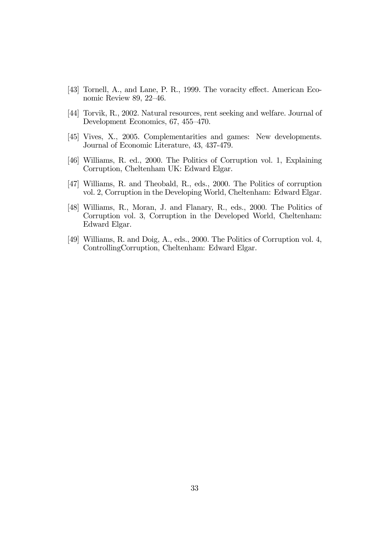- [43] Tornell, A., and Lane, P. R., 1999. The voracity effect. American Economic Review 89, 22—46.
- [44] Torvik, R., 2002. Natural resources, rent seeking and welfare. Journal of Development Economics, 67, 455—470.
- [45] Vives, X., 2005. Complementarities and games: New developments. Journal of Economic Literature, 43, 437-479.
- [46] Williams, R. ed., 2000. The Politics of Corruption vol. 1, Explaining Corruption, Cheltenham UK: Edward Elgar.
- [47] Williams, R. and Theobald, R., eds., 2000. The Politics of corruption vol. 2, Corruption in the Developing World, Cheltenham: Edward Elgar.
- [48] Williams, R., Moran, J. and Flanary, R., eds., 2000. The Politics of Corruption vol. 3, Corruption in the Developed World, Cheltenham: Edward Elgar.
- [49] Williams, R. and Doig, A., eds., 2000. The Politics of Corruption vol. 4, ControllingCorruption, Cheltenham: Edward Elgar.